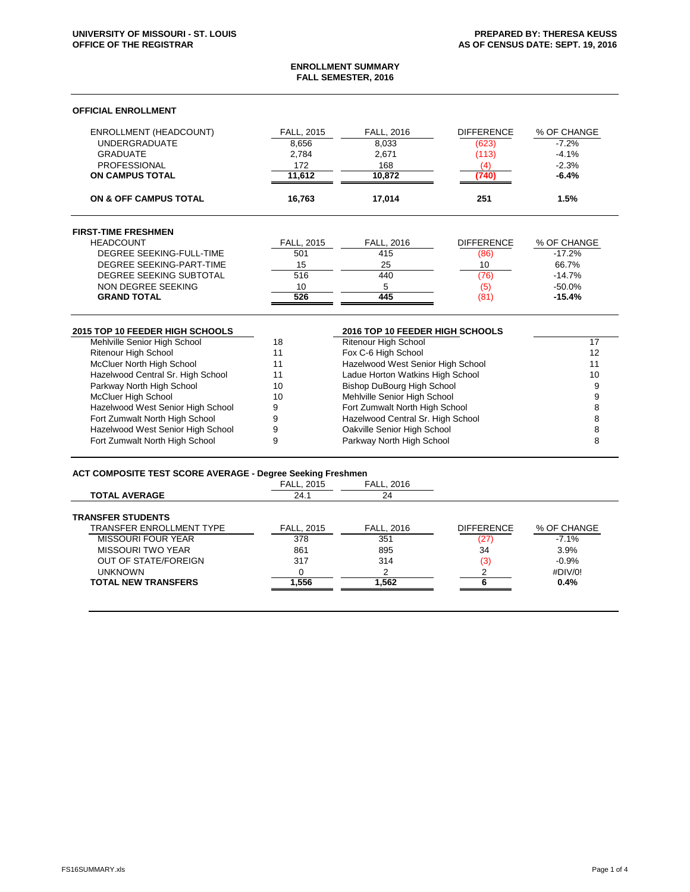### **ENROLLMENT SUMMARY FALL SEMESTER, 2016**

#### **OFFICIAL ENROLLMENT**

| <b>ENROLLMENT (HEADCOUNT)</b> | <b>FALL, 2015</b> | <b>FALL, 2016</b> | <b>DIFFERENCE</b> | % OF CHANGE |
|-------------------------------|-------------------|-------------------|-------------------|-------------|
| <b>UNDERGRADUATE</b>          | 8,656             | 8,033             | (623)             | $-7.2%$     |
| <b>GRADUATE</b>               | 2.784             | 2,671             | (113)             | $-4.1%$     |
| PROFESSIONAL                  | 172               | 168               |                   | $-2.3%$     |
| <b>ON CAMPUS TOTAL</b>        | 11.612            | 10.872            |                   | $-6.4%$     |
| ON & OFF CAMPUS TOTAL         | 16.763            | 17.014            | 251               | 1.5%        |

### **FIRST-TIME FRESHMEN** HEADCOUNT FALL, 2015 FALL, 2016 DIFFERENCE % OF CHANGE DEGREE SEEKING-FULL-TIME DEGREE SEEKING-PART-TIME 15 15 25 10 10 66.7% DEGREE SEEKING SUBTOTAL  $\begin{array}{cccc} 516 & 440 & 76 \end{array}$  (76) -14.7%<br>NON DEGREE SEEKING 10 5 (5) -50.0% NON DEGREE SEEKING 10 10 5 (5) **GRAND TOTAL 526 445** (81) **-15.4%**

| 2015 TOP 10 FEEDER HIGH SCHOOLS   |    | 2016 TOP 10 FEEDER HIGH SCHOOLS   |    |
|-----------------------------------|----|-----------------------------------|----|
| Mehlville Senior High School      | 18 | <b>Ritenour High School</b>       |    |
| <b>Ritenour High School</b>       | 11 | Fox C-6 High School               | 12 |
| McCluer North High School         | 11 | Hazelwood West Senior High School |    |
| Hazelwood Central Sr. High School | 11 | Ladue Horton Watkins High School  | 10 |
| Parkway North High School         | 10 | <b>Bishop DuBourg High School</b> |    |
| <b>McCluer High School</b>        | 10 | Mehlville Senior High School      |    |
| Hazelwood West Senior High School |    | Fort Zumwalt North High School    |    |
| Fort Zumwalt North High School    |    | Hazelwood Central Sr. High School |    |
| Hazelwood West Senior High School |    | Oakville Senior High School       |    |
| Fort Zumwalt North High School    |    | Parkway North High School         |    |

# **ACT COMPOSITE TEST SCORE AVERAGE - Degree Seeking Freshmen**

|                                 | <b>FALL, 2015</b> | <b>FALL, 2016</b> |                   |             |
|---------------------------------|-------------------|-------------------|-------------------|-------------|
| <b>TOTAL AVERAGE</b>            | 24.1              | 24                |                   |             |
| <b>TRANSFER STUDENTS</b>        |                   |                   |                   |             |
| <b>TRANSFER ENROLLMENT TYPE</b> | FALL, 2015        | FALL, 2016        | <b>DIFFERENCE</b> | % OF CHANGE |
| <b>MISSOURI FOUR YEAR</b>       | 378               | 351               | (27)              | $-7.1\%$    |
| MISSOURI TWO YEAR               | 861               | 895               | 34                | 3.9%        |
| <b>OUT OF STATE/FOREIGN</b>     | 317               | 314               | (3                | $-0.9%$     |
| <b>UNKNOWN</b>                  |                   |                   |                   | #DIV/0!     |
| <b>TOTAL NEW TRANSFERS</b>      | 1.556             | 1,562             |                   | 0.4%        |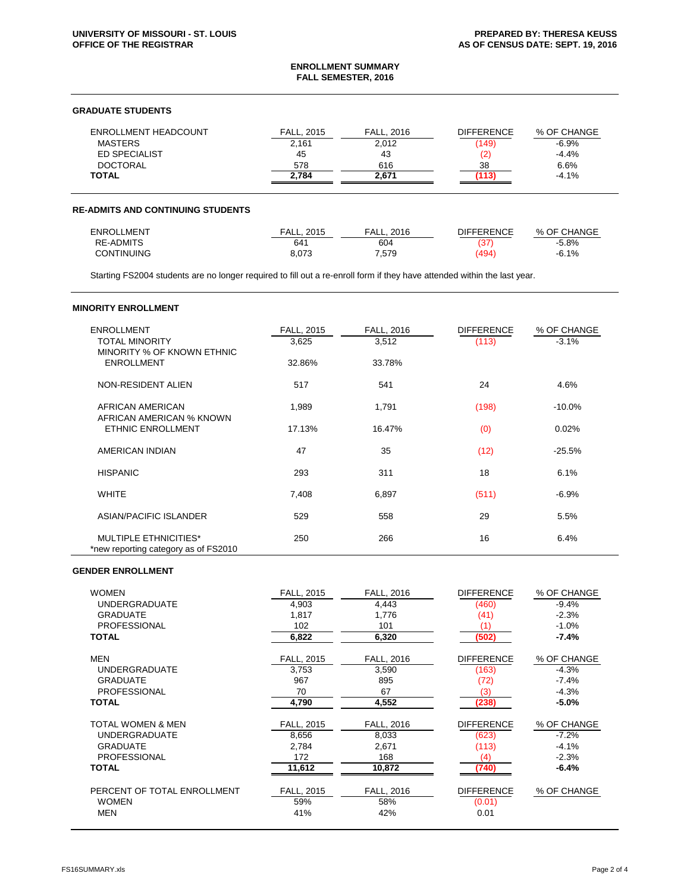## **ENROLLMENT SUMMARY FALL SEMESTER, 2016**

### **GRADUATE STUDENTS**

| FALL, 2015 | <b>FALL, 2016</b> | <b>DIFFERENCE</b> | % OF CHANGE |
|------------|-------------------|-------------------|-------------|
| 2,161      | 2,012             | (149)             | $-6.9\%$    |
| 45         | 43                |                   | $-4.4%$     |
| 578        | 616               | 38                | 6.6%        |
| 2,784      | 2.671             |                   | $-4.1\%$    |
|            |                   |                   |             |

# **RE-ADMITS AND CONTINUING STUDENTS**

| ENROLLMENT        | 2015<br>FALL. | 2016<br>⊑AL∟. | <b>DIFFERENCE</b> | % OF CHANGE |
|-------------------|---------------|---------------|-------------------|-------------|
| <b>RE-ADMITS</b>  | 641           | 604           | ، ت               | $-5.8%$     |
| <b>CONTINUING</b> | 8,073         | 7,579         | 494               | $-6.1%$     |

Starting FS2004 students are no longer required to fill out a re-enroll form if they have attended within the last year.

| <b>MINORITY ENROLLMENT</b>                                           |            |            |                   |             |
|----------------------------------------------------------------------|------------|------------|-------------------|-------------|
| <b>ENROLLMENT</b>                                                    | FALL, 2015 | FALL, 2016 | <b>DIFFERENCE</b> | % OF CHANGE |
| <b>TOTAL MINORITY</b><br>MINORITY % OF KNOWN ETHNIC                  | 3,625      | 3,512      | (113)             | $-3.1%$     |
| <b>ENROLLMENT</b>                                                    | 32.86%     | 33.78%     |                   |             |
| NON-RESIDENT ALIEN                                                   | 517        | 541        | 24                | 4.6%        |
| AFRICAN AMERICAN                                                     | 1,989      | 1,791      | (198)             | $-10.0%$    |
| AFRICAN AMERICAN % KNOWN<br><b>ETHNIC ENROLLMENT</b>                 | 17.13%     | 16.47%     | (0)               | 0.02%       |
|                                                                      |            |            |                   |             |
| <b>AMERICAN INDIAN</b>                                               | 47         | 35         | (12)              | $-25.5%$    |
| <b>HISPANIC</b>                                                      | 293        | 311        | 18                | 6.1%        |
| <b>WHITE</b>                                                         | 7,408      | 6,897      | (511)             | $-6.9%$     |
| <b>ASIAN/PACIFIC ISLANDER</b>                                        | 529        | 558        | 29                | 5.5%        |
| <b>MULTIPLE ETHNICITIES*</b><br>*new reporting category as of FS2010 | 250        | 266        | 16                | 6.4%        |

#### **GENDER ENROLLMENT**

| <b>WOMEN</b>                 | FALL, 2015 | FALL, 2016 | <b>DIFFERENCE</b> | % OF CHANGE |
|------------------------------|------------|------------|-------------------|-------------|
| <b>UNDERGRADUATE</b>         | 4,903      | 4,443      | (460)             | $-9.4%$     |
| <b>GRADUATE</b>              | 1,817      | 1,776      | (41)              | $-2.3%$     |
| <b>PROFESSIONAL</b>          | 102        | 101        | (1)               | $-1.0%$     |
| <b>TOTAL</b>                 | 6,822      | 6,320      | (502)             | $-7.4%$     |
| <b>MEN</b>                   | FALL, 2015 | FALL, 2016 | <b>DIFFERENCE</b> | % OF CHANGE |
| <b>UNDERGRADUATE</b>         | 3,753      | 3,590      | (163)             | $-4.3%$     |
| <b>GRADUATE</b>              | 967        | 895        | (72)              | $-7.4%$     |
| <b>PROFESSIONAL</b>          | 70         | 67         | (3)               | $-4.3%$     |
| <b>TOTAL</b>                 | 4,790      | 4,552      | (238)             | $-5.0\%$    |
| <b>TOTAL WOMEN &amp; MEN</b> | FALL, 2015 | FALL, 2016 | <b>DIFFERENCE</b> | % OF CHANGE |
| <b>UNDERGRADUATE</b>         | 8,656      | 8,033      | (623)             | $-7.2%$     |
| <b>GRADUATE</b>              | 2,784      | 2,671      | (113)             | $-4.1%$     |
| <b>PROFESSIONAL</b>          | 172        | 168        | (4)               | $-2.3%$     |
| <b>TOTAL</b>                 | 11,612     | 10,872     | (740)             | $-6.4%$     |
| PERCENT OF TOTAL ENROLLMENT  | FALL, 2015 | FALL, 2016 | <b>DIFFERENCE</b> | % OF CHANGE |
| <b>WOMEN</b>                 | 59%        | 58%        | (0.01)            |             |
| <b>MEN</b>                   | 41%        | 42%        | 0.01              |             |